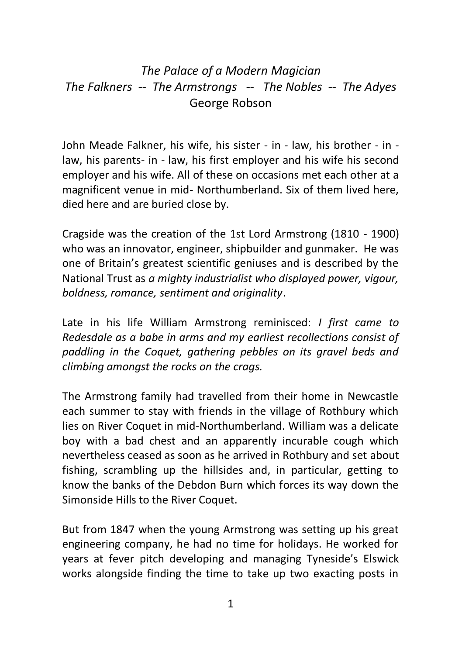# *The Palace of a Modern Magician The Falkners -- The Armstrongs -- The Nobles -- The Adyes* George Robson

John Meade Falkner, his wife, his sister - in - law, his brother - in law, his parents- in - law, his first employer and his wife his second employer and his wife. All of these on occasions met each other at a magnificent venue in mid- Northumberland. Six of them lived here, died here and are buried close by.

Cragside was the creation of the 1st Lord Armstrong (1810 - 1900) who was an innovator, engineer, shipbuilder and gunmaker. He was one of Britain's greatest scientific geniuses and is described by the National Trust as *a mighty industrialist who displayed power, vigour, boldness, romance, sentiment and originality*.

Late in his life William Armstrong reminisced: *I first came to Redesdale as a babe in arms and my earliest recollections consist of paddling in the Coquet, gathering pebbles on its gravel beds and climbing amongst the rocks on the crags.*

The Armstrong family had travelled from their home in Newcastle each summer to stay with friends in the village of Rothbury which lies on River Coquet in mid-Northumberland. William was a delicate boy with a bad chest and an apparently incurable cough which nevertheless ceased as soon as he arrived in Rothbury and set about fishing, scrambling up the hillsides and, in particular, getting to know the banks of the Debdon Burn which forces its way down the Simonside Hills to the River Coquet.

But from 1847 when the young Armstrong was setting up his great engineering company, he had no time for holidays. He worked for years at fever pitch developing and managing Tyneside's Elswick works alongside finding the time to take up two exacting posts in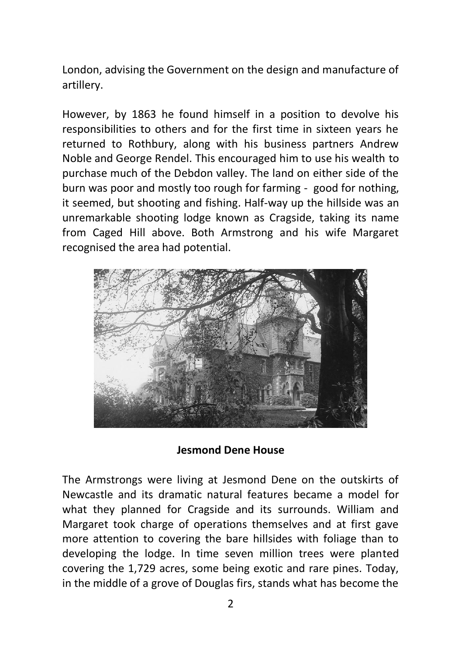London, advising the Government on the design and manufacture of artillery.

However, by 1863 he found himself in a position to devolve his responsibilities to others and for the first time in sixteen years he returned to Rothbury, along with his business partners Andrew Noble and George Rendel. This encouraged him to use his wealth to purchase much of the Debdon valley. The land on either side of the burn was poor and mostly too rough for farming - good for nothing, it seemed, but shooting and fishing. Half-way up the hillside was an unremarkable shooting lodge known as Cragside, taking its name from Caged Hill above. Both Armstrong and his wife Margaret recognised the area had potential.



**Jesmond Dene House**

The Armstrongs were living at Jesmond Dene on the outskirts of Newcastle and its dramatic natural features became a model for what they planned for Cragside and its surrounds. William and Margaret took charge of operations themselves and at first gave more attention to covering the bare hillsides with foliage than to developing the lodge. In time seven million trees were planted covering the 1,729 acres, some being exotic and rare pines. Today, in the middle of a grove of Douglas firs, stands what has become the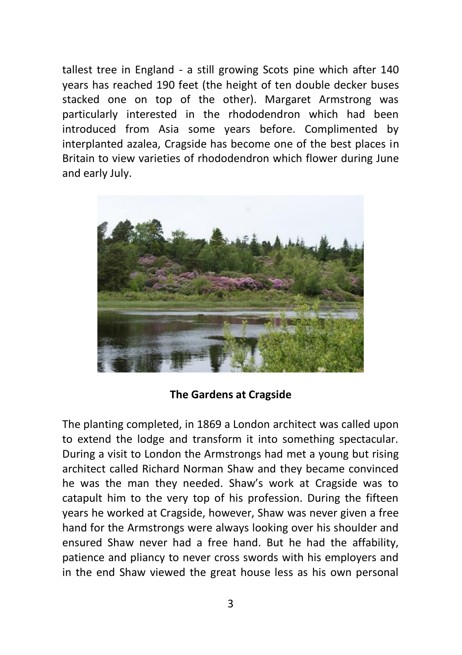tallest tree in England - a still growing Scots pine which after 140 years has reached 190 feet (the height of ten double decker buses stacked one on top of the other). Margaret Armstrong was particularly interested in the rhododendron which had been introduced from Asia some years before. Complimented by interplanted azalea, Cragside has become one of the best places in Britain to view varieties of rhododendron which flower during June and early July.



#### **The Gardens at Cragside**

The planting completed, in 1869 a London architect was called upon to extend the lodge and transform it into something spectacular. During a visit to London the Armstrongs had met a young but rising architect called Richard Norman Shaw and they became convinced he was the man they needed. Shaw's work at Cragside was to catapult him to the very top of his profession. During the fifteen years he worked at Cragside, however, Shaw was never given a free hand for the Armstrongs were always looking over his shoulder and ensured Shaw never had a free hand. But he had the affability, patience and pliancy to never cross swords with his employers and in the end Shaw viewed the great house less as his own personal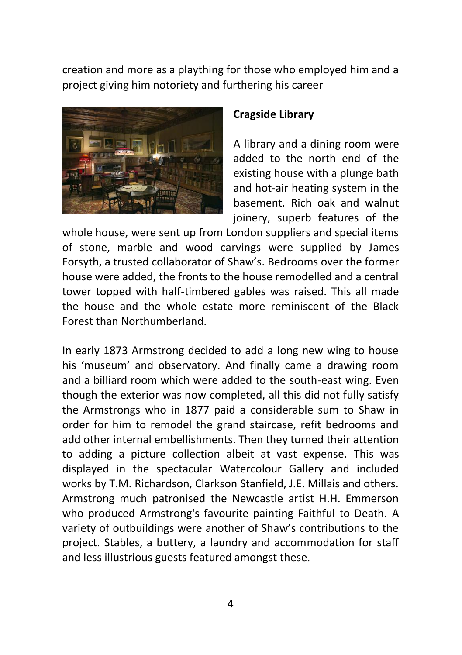creation and more as a plaything for those who employed him and a project giving him notoriety and furthering his career



### **Cragside Library**

A library and a dining room were added to the north end of the existing house with a plunge bath and hot-air heating system in the basement. Rich oak and walnut joinery, superb features of the

whole house, were sent up from London suppliers and special items of stone, marble and wood carvings were supplied by James Forsyth, a trusted collaborator of Shaw's. Bedrooms over the former house were added, the fronts to the house remodelled and a central tower topped with half-timbered gables was raised. This all made the house and the whole estate more reminiscent of the Black Forest than Northumberland.

In early 1873 Armstrong decided to add a long new wing to house his 'museum' and observatory. And finally came a drawing room and a billiard room which were added to the south-east wing. Even though the exterior was now completed, all this did not fully satisfy the Armstrongs who in 1877 paid a considerable sum to Shaw in order for him to remodel the grand staircase, refit bedrooms and add other internal embellishments. Then they turned their attention to adding a picture collection albeit at vast expense. This was displayed in the spectacular Watercolour Gallery and included works by T.M. Richardson, Clarkson Stanfield, J.E. Millais and others. Armstrong much patronised the Newcastle artist H.H. Emmerson who produced Armstrong's favourite painting Faithful to Death. A variety of outbuildings were another of Shaw's contributions to the project. Stables, a buttery, a laundry and accommodation for staff and less illustrious guests featured amongst these.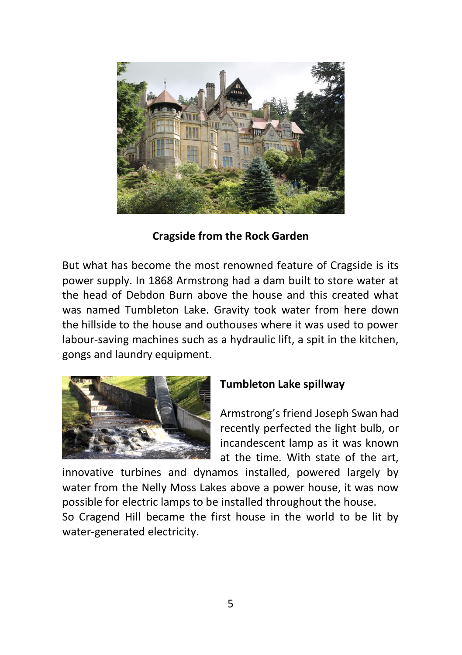

**Cragside from the Rock Garden**

But what has become the most renowned feature of Cragside is its power supply. In 1868 Armstrong had a dam built to store water at the head of Debdon Burn above the house and this created what was named Tumbleton Lake. Gravity took water from here down the hillside to the house and outhouses where it was used to power labour-saving machines such as a hydraulic lift, a spit in the kitchen, gongs and laundry equipment.



# **Tumbleton Lake spillway**

Armstrong's friend Joseph Swan had recently perfected the light bulb, or incandescent lamp as it was known at the time. With state of the art,

innovative turbines and dynamos installed, powered largely by water from the Nelly Moss Lakes above a power house, it was now possible for electric lamps to be installed throughout the house.

So Cragend Hill became the first house in the world to be lit by water-generated electricity.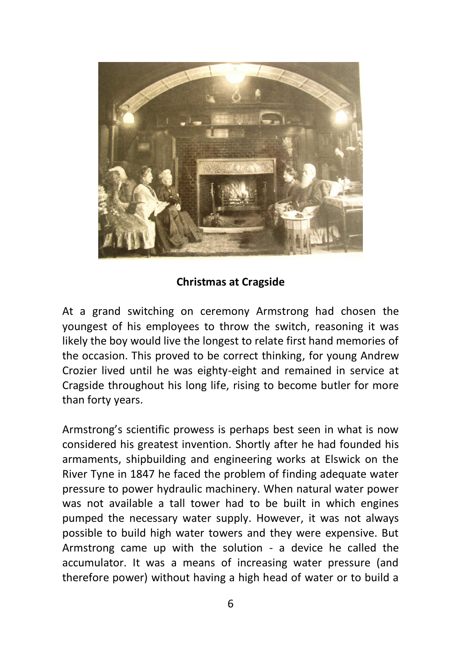

## **Christmas at Cragside**

At a grand switching on ceremony Armstrong had chosen the youngest of his employees to throw the switch, reasoning it was likely the boy would live the longest to relate first hand memories of the occasion. This proved to be correct thinking, for young Andrew Crozier lived until he was eighty-eight and remained in service at Cragside throughout his long life, rising to become butler for more than forty years.

Armstrong's scientific prowess is perhaps best seen in what is now considered his greatest invention. Shortly after he had founded his armaments, shipbuilding and engineering works at Elswick on the River Tyne in 1847 he faced the problem of finding adequate water pressure to power hydraulic machinery. When natural water power was not available a tall tower had to be built in which engines pumped the necessary water supply. However, it was not always possible to build high water towers and they were expensive. But Armstrong came up with the solution - a device he called the accumulator. It was a means of increasing water pressure (and therefore power) without having a high head of water or to build a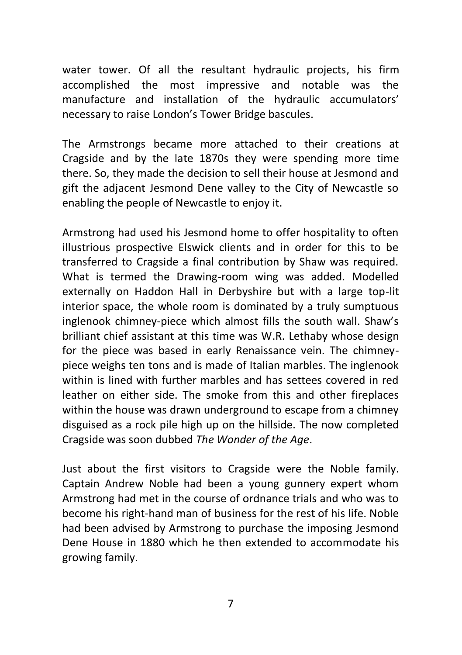water tower. Of all the resultant hydraulic projects, his firm accomplished the most impressive and notable was the manufacture and installation of the hydraulic accumulators' necessary to raise London's Tower Bridge bascules.

The Armstrongs became more attached to their creations at Cragside and by the late 1870s they were spending more time there. So, they made the decision to sell their house at Jesmond and gift the adjacent Jesmond Dene valley to the City of Newcastle so enabling the people of Newcastle to enjoy it.

Armstrong had used his Jesmond home to offer hospitality to often illustrious prospective Elswick clients and in order for this to be transferred to Cragside a final contribution by Shaw was required. What is termed the Drawing-room wing was added. Modelled externally on Haddon Hall in Derbyshire but with a large top-lit interior space, the whole room is dominated by a truly sumptuous inglenook chimney-piece which almost fills the south wall. Shaw's brilliant chief assistant at this time was W.R. Lethaby whose design for the piece was based in early Renaissance vein. The chimneypiece weighs ten tons and is made of Italian marbles. The inglenook within is lined with further marbles and has settees covered in red leather on either side. The smoke from this and other fireplaces within the house was drawn underground to escape from a chimney disguised as a rock pile high up on the hillside. The now completed Cragside was soon dubbed *The Wonder of the Age*.

Just about the first visitors to Cragside were the Noble family. Captain Andrew Noble had been a young gunnery expert whom Armstrong had met in the course of ordnance trials and who was to become his right-hand man of business for the rest of his life. Noble had been advised by Armstrong to purchase the imposing Jesmond Dene House in 1880 which he then extended to accommodate his growing family.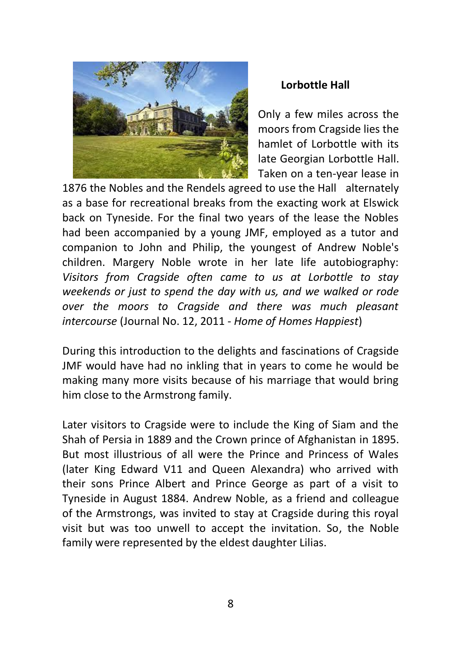

# **Lorbottle Hall**

Only a few miles across the moors from Cragside lies the hamlet of Lorbottle with its late Georgian Lorbottle Hall. Taken on a ten-year lease in

1876 the Nobles and the Rendels agreed to use the Hall alternately as a base for recreational breaks from the exacting work at Elswick back on Tyneside. For the final two years of the lease the Nobles had been accompanied by a young JMF, employed as a tutor and companion to John and Philip, the youngest of Andrew Noble's children. Margery Noble wrote in her late life autobiography: *Visitors from Cragside often came to us at Lorbottle to stay weekends or just to spend the day with us, and we walked or rode over the moors to Cragside and there was much pleasant intercourse* (Journal No. 12, 2011 - *Home of Homes Happiest*)

During this introduction to the delights and fascinations of Cragside JMF would have had no inkling that in years to come he would be making many more visits because of his marriage that would bring him close to the Armstrong family.

Later visitors to Cragside were to include the King of Siam and the Shah of Persia in 1889 and the Crown prince of Afghanistan in 1895. But most illustrious of all were the Prince and Princess of Wales (later King Edward V11 and Queen Alexandra) who arrived with their sons Prince Albert and Prince George as part of a visit to Tyneside in August 1884. Andrew Noble, as a friend and colleague of the Armstrongs, was invited to stay at Cragside during this royal visit but was too unwell to accept the invitation. So, the Noble family were represented by the eldest daughter Lilias.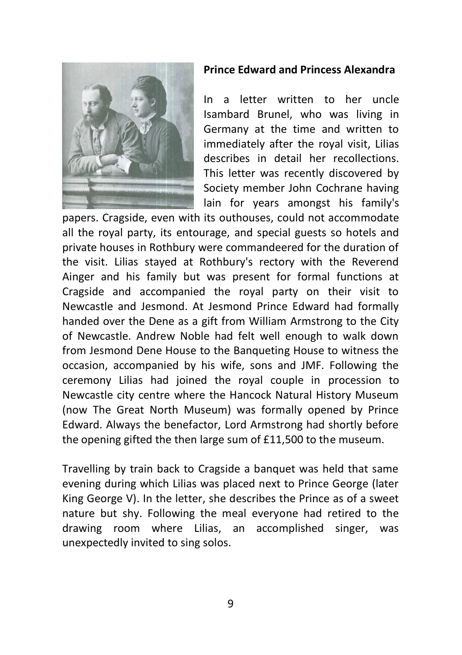

#### **Prince Edward and Princess Alexandra**

In a letter written to her uncle Isambard Brunel, who was living in Germany at the time and written to immediately after the royal visit, Lilias describes in detail her recollections. This letter was recently discovered by Society member John Cochrane having lain for years amongst his family's

papers. Cragside, even with its outhouses, could not accommodate all the royal party, its entourage, and special guests so hotels and private houses in Rothbury were commandeered for the duration of the visit. Lilias stayed at Rothbury's rectory with the Reverend Ainger and his family but was present for formal functions at Cragside and accompanied the royal party on their visit to Newcastle and Jesmond. At Jesmond Prince Edward had formally handed over the Dene as a gift from William Armstrong to the City of Newcastle. Andrew Noble had felt well enough to walk down from Jesmond Dene House to the Banqueting House to witness the occasion, accompanied by his wife, sons and JMF. Following the ceremony Lilias had joined the royal couple in procession to Newcastle city centre where the Hancock Natural History Museum (now The Great North Museum) was formally opened by Prince Edward. Always the benefactor, Lord Armstrong had shortly before the opening gifted the then large sum of £11,500 to the museum.

Travelling by train back to Cragside a banquet was held that same evening during which Lilias was placed next to Prince George (later King George V). In the letter, she describes the Prince as of a sweet nature but shy. Following the meal everyone had retired to the drawing room where Lilias, an accomplished singer, was unexpectedly invited to sing solos.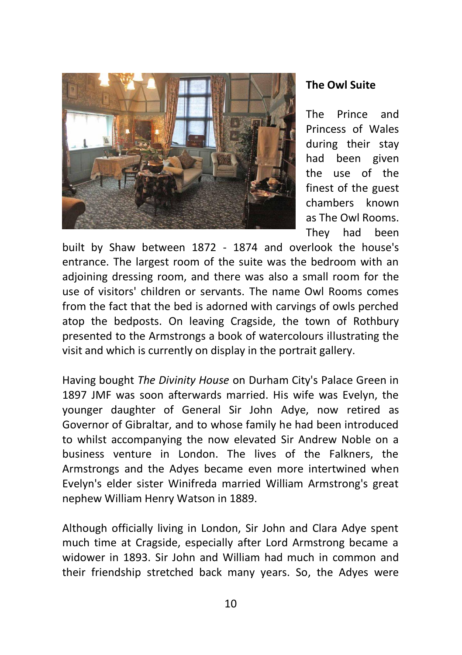

#### **The Owl Suite**

The Prince and Princess of Wales during their stay had been given the use of the finest of the guest chambers known as The Owl Rooms. They had been

built by Shaw between 1872 - 1874 and overlook the house's entrance. The largest room of the suite was the bedroom with an adjoining dressing room, and there was also a small room for the use of visitors' children or servants. The name Owl Rooms comes from the fact that the bed is adorned with carvings of owls perched atop the bedposts. On leaving Cragside, the town of Rothbury presented to the Armstrongs a book of watercolours illustrating the visit and which is currently on display in the portrait gallery.

Having bought *The Divinity House* on Durham City's Palace Green in 1897 JMF was soon afterwards married. His wife was Evelyn, the younger daughter of General Sir John Adye, now retired as Governor of Gibraltar, and to whose family he had been introduced to whilst accompanying the now elevated Sir Andrew Noble on a business venture in London. The lives of the Falkners, the Armstrongs and the Adyes became even more intertwined when Evelyn's elder sister Winifreda married William Armstrong's great nephew William Henry Watson in 1889.

Although officially living in London, Sir John and Clara Adye spent much time at Cragside, especially after Lord Armstrong became a widower in 1893. Sir John and William had much in common and their friendship stretched back many years. So, the Adyes were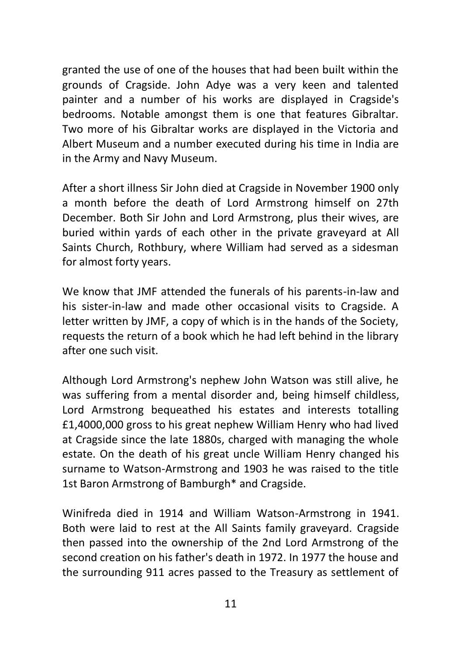granted the use of one of the houses that had been built within the grounds of Cragside. John Adye was a very keen and talented painter and a number of his works are displayed in Cragside's bedrooms. Notable amongst them is one that features Gibraltar. Two more of his Gibraltar works are displayed in the Victoria and Albert Museum and a number executed during his time in India are in the Army and Navy Museum.

After a short illness Sir John died at Cragside in November 1900 only a month before the death of Lord Armstrong himself on 27th December. Both Sir John and Lord Armstrong, plus their wives, are buried within yards of each other in the private graveyard at All Saints Church, Rothbury, where William had served as a sidesman for almost forty years.

We know that JMF attended the funerals of his parents-in-law and his sister-in-law and made other occasional visits to Cragside. A letter written by JMF, a copy of which is in the hands of the Society, requests the return of a book which he had left behind in the library after one such visit.

Although Lord Armstrong's nephew John Watson was still alive, he was suffering from a mental disorder and, being himself childless, Lord Armstrong bequeathed his estates and interests totalling £1,4000,000 gross to his great nephew William Henry who had lived at Cragside since the late 1880s, charged with managing the whole estate. On the death of his great uncle William Henry changed his surname to Watson-Armstrong and 1903 he was raised to the title 1st Baron Armstrong of Bamburgh\* and Cragside.

Winifreda died in 1914 and William Watson-Armstrong in 1941. Both were laid to rest at the All Saints family graveyard. Cragside then passed into the ownership of the 2nd Lord Armstrong of the second creation on his father's death in 1972. In 1977 the house and the surrounding 911 acres passed to the Treasury as settlement of